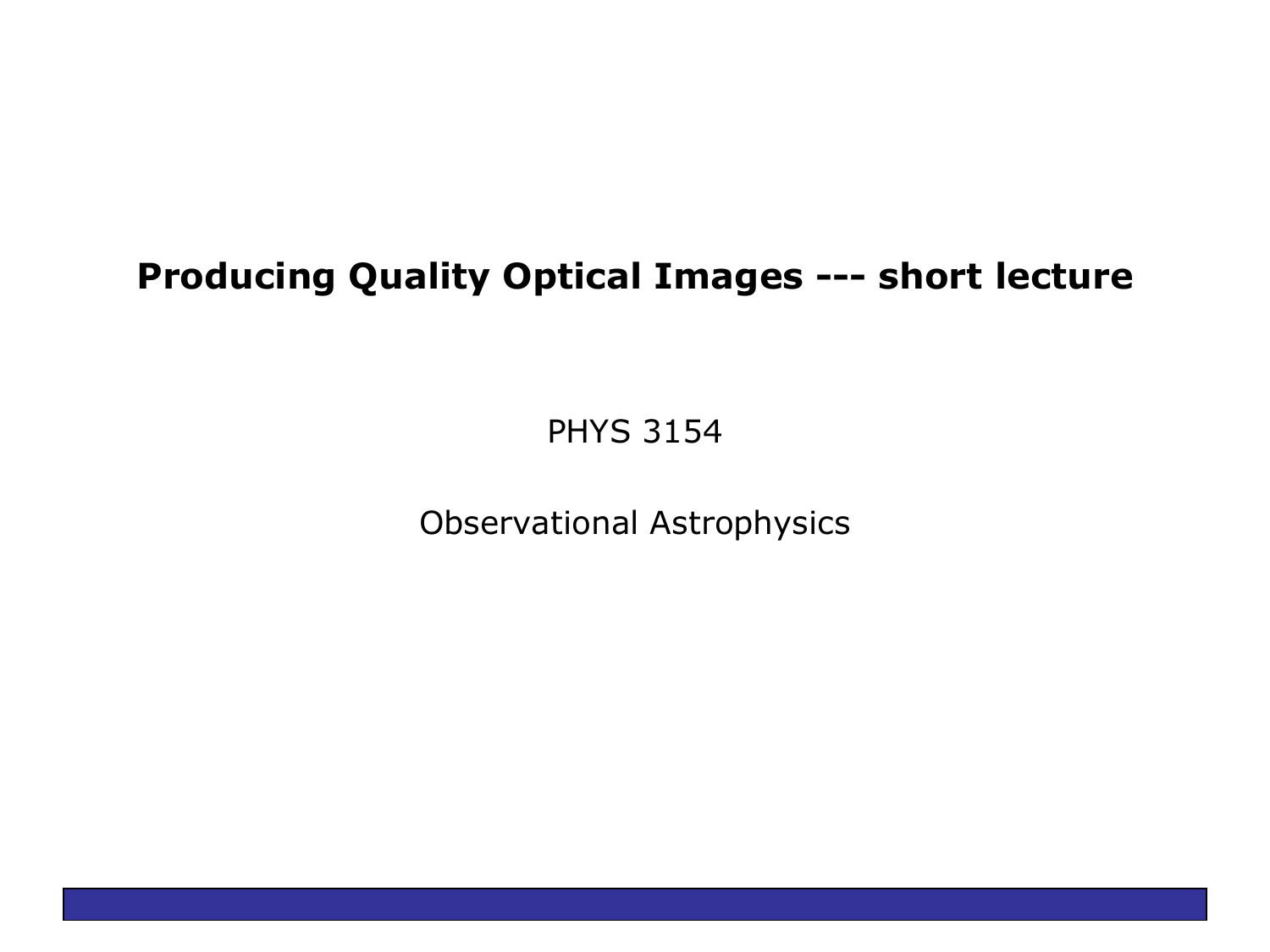### **Producing Quality Optical Images --- short lecture**

PHYS 3154

Observational Astrophysics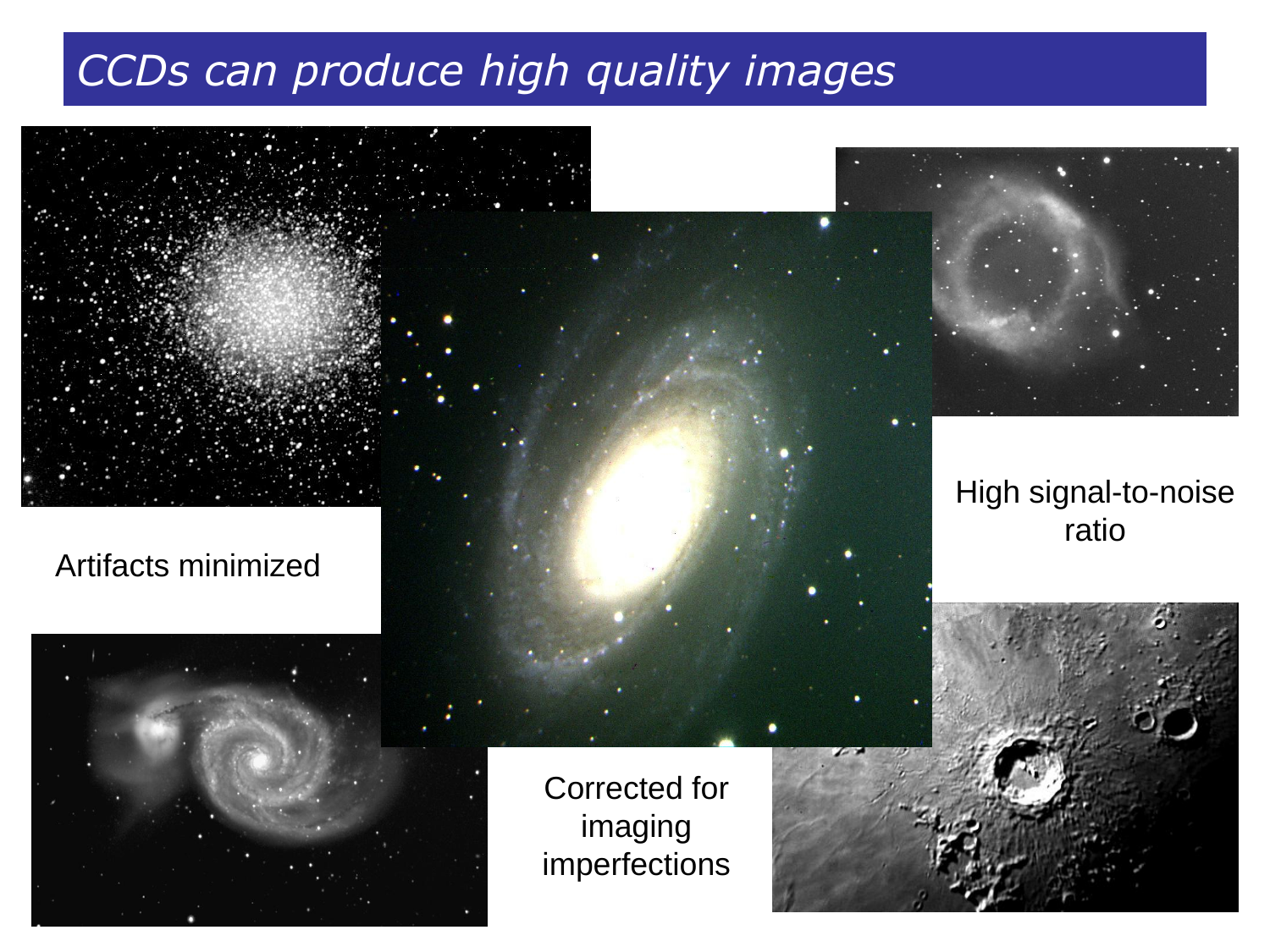# *CCDs can produce high quality images*



#### Artifacts minimized



Corrected for imaging imperfections



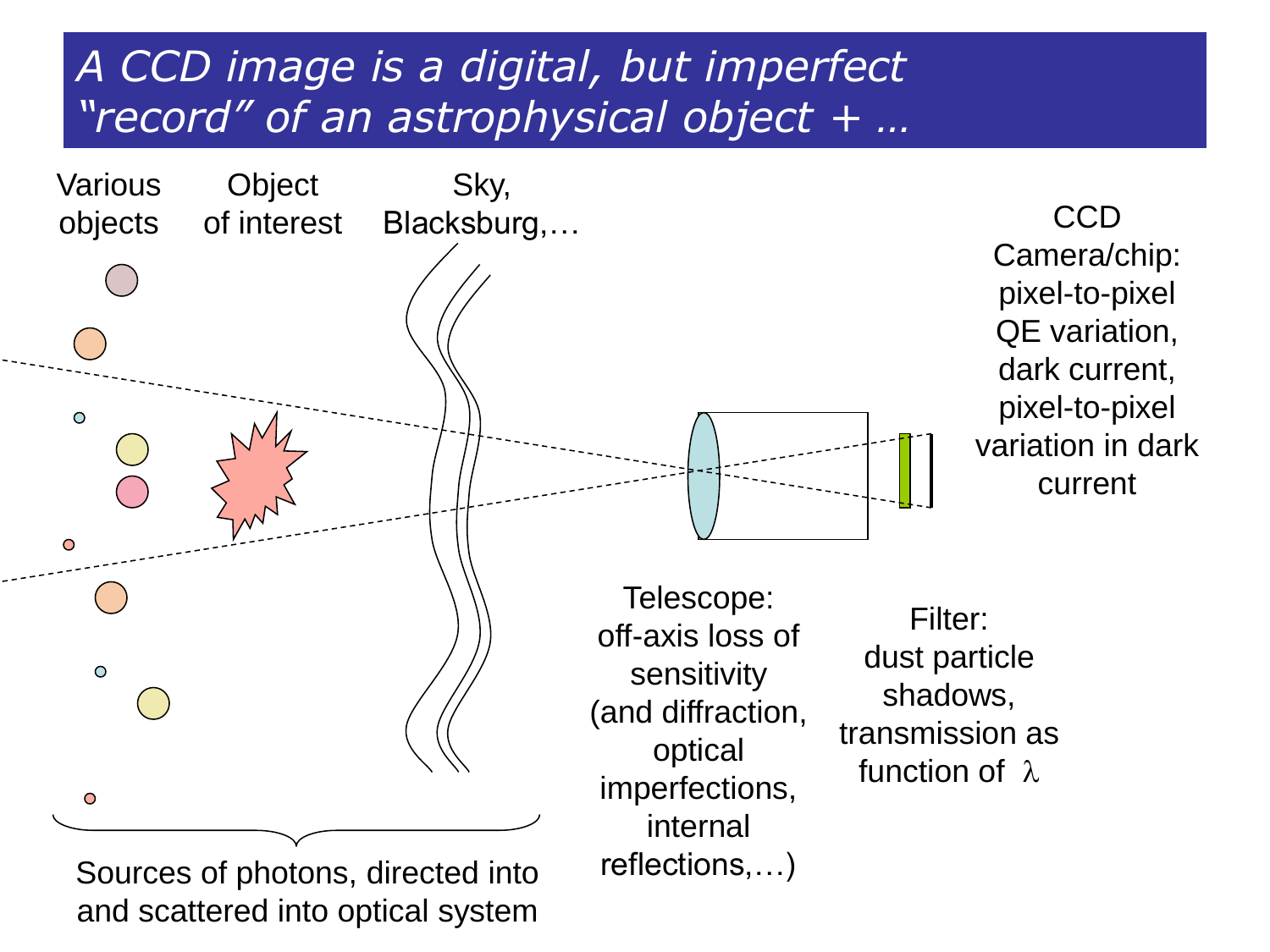# *A CCD image is a digital, but imperfect "record" of an astrophysical object + …*



and scattered into optical system

Camera/chip: pixel-to-pixel QE variation, dark current, pixel-to-pixel variation in dark current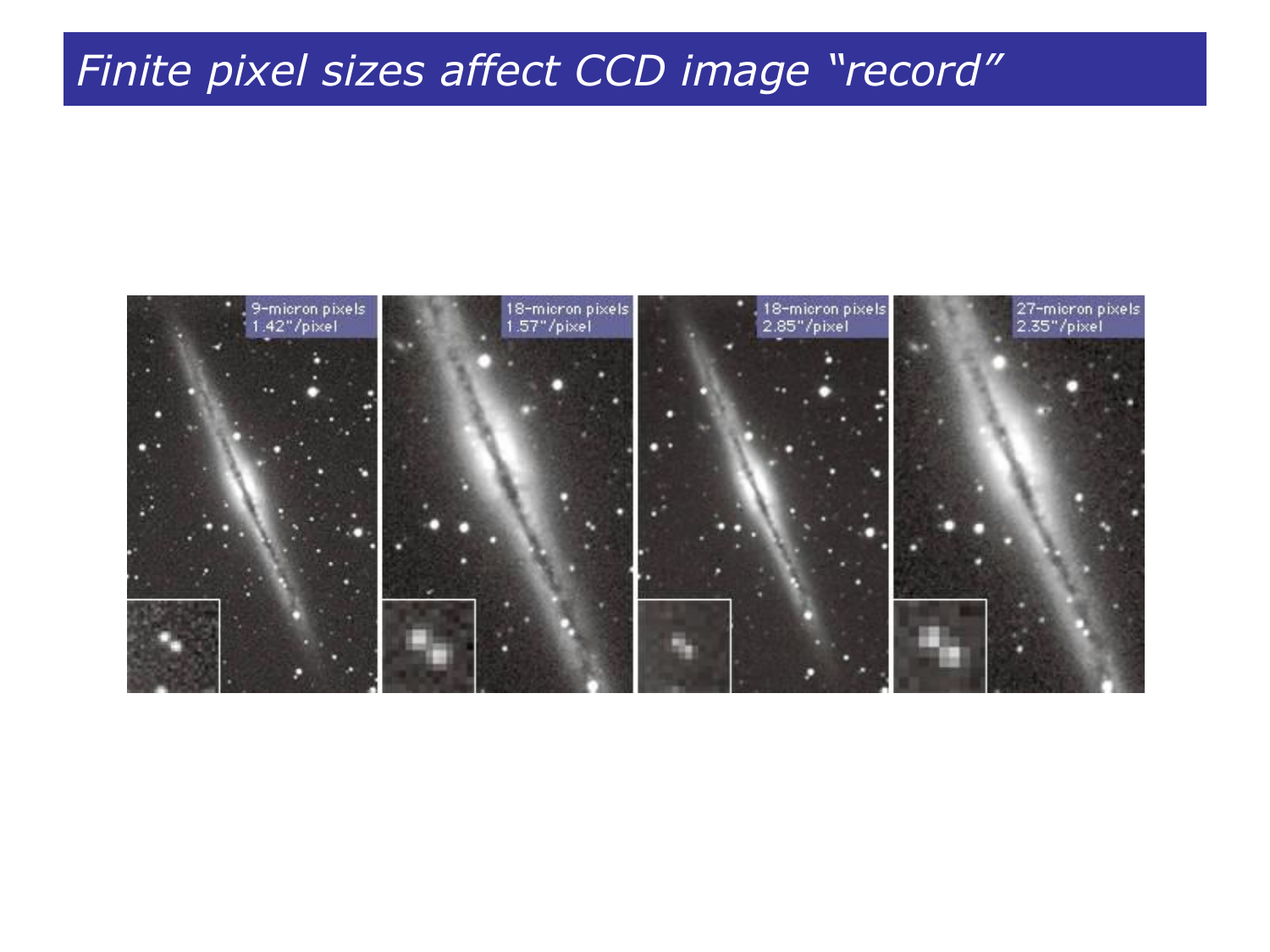## *Finite pixel sizes affect CCD image "record"*

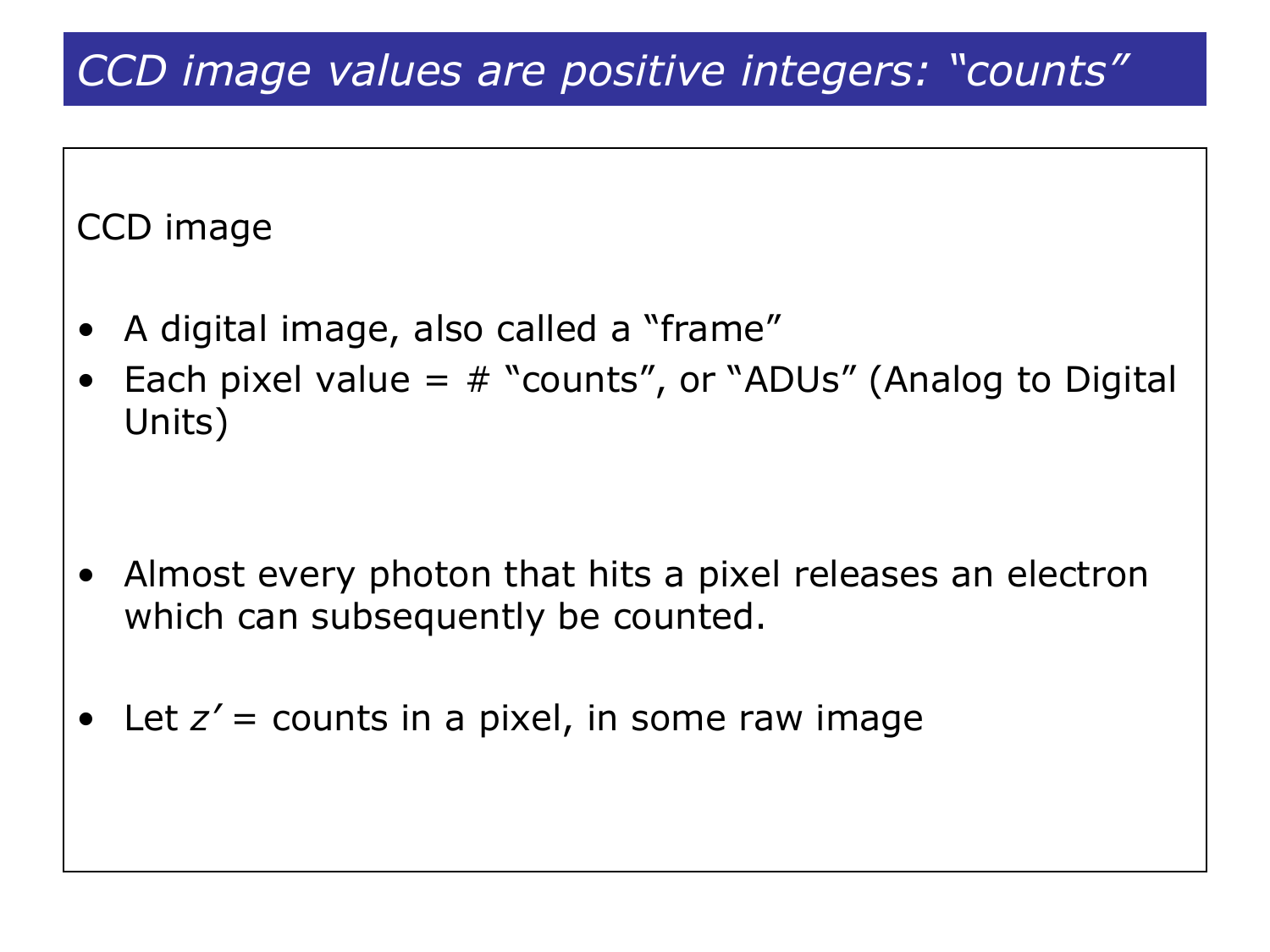# *CCD image values are positive integers: "counts"*

CCD image

- A digital image, also called a "frame"
- Each pixel value  $=$   $#$  "counts", or "ADUs" (Analog to Digital Units)

- Almost every photon that hits a pixel releases an electron which can subsequently be counted.
- Let  $z' =$  counts in a pixel, in some raw image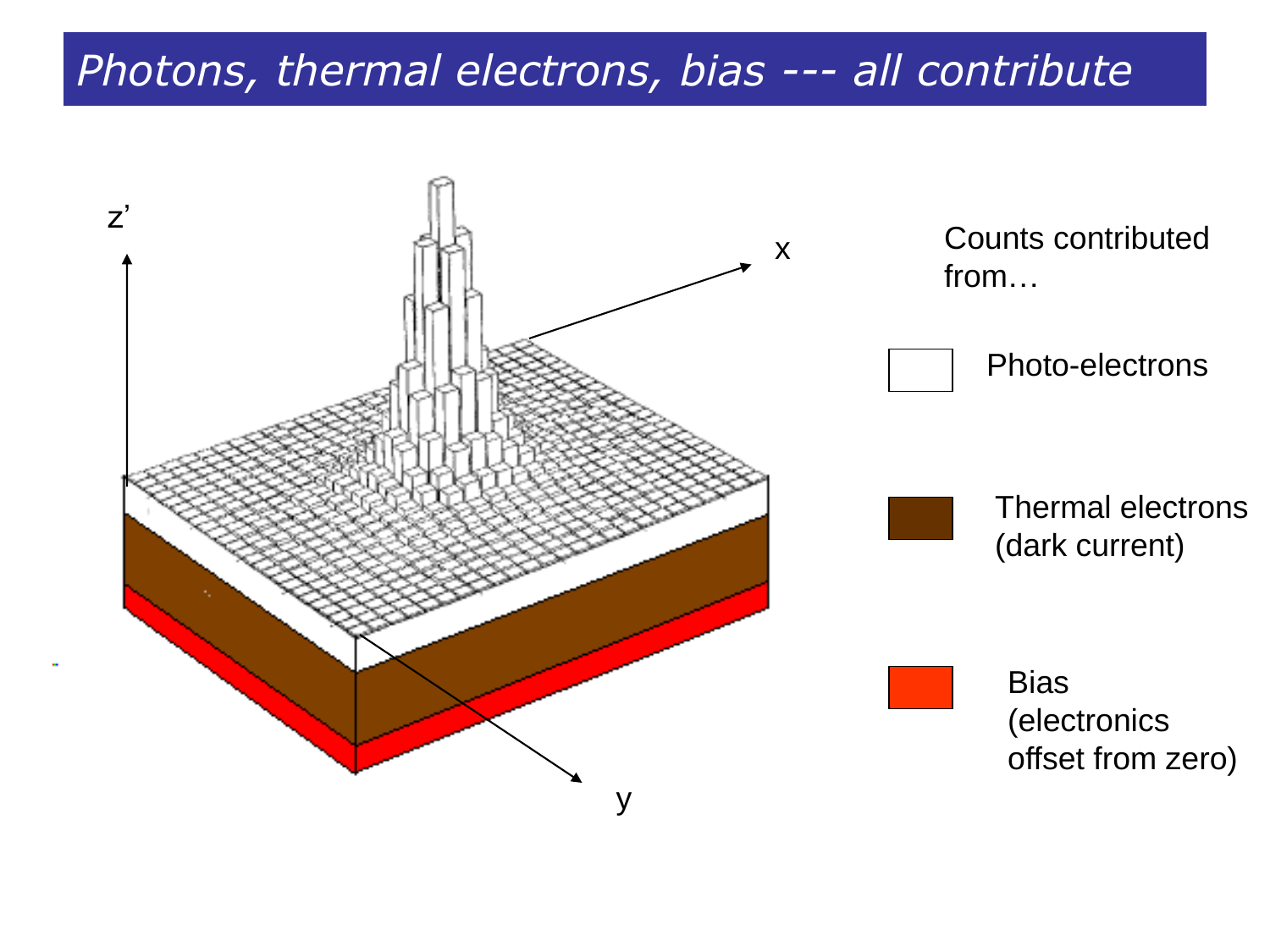### *Photons, thermal electrons, bias --- all contribute*

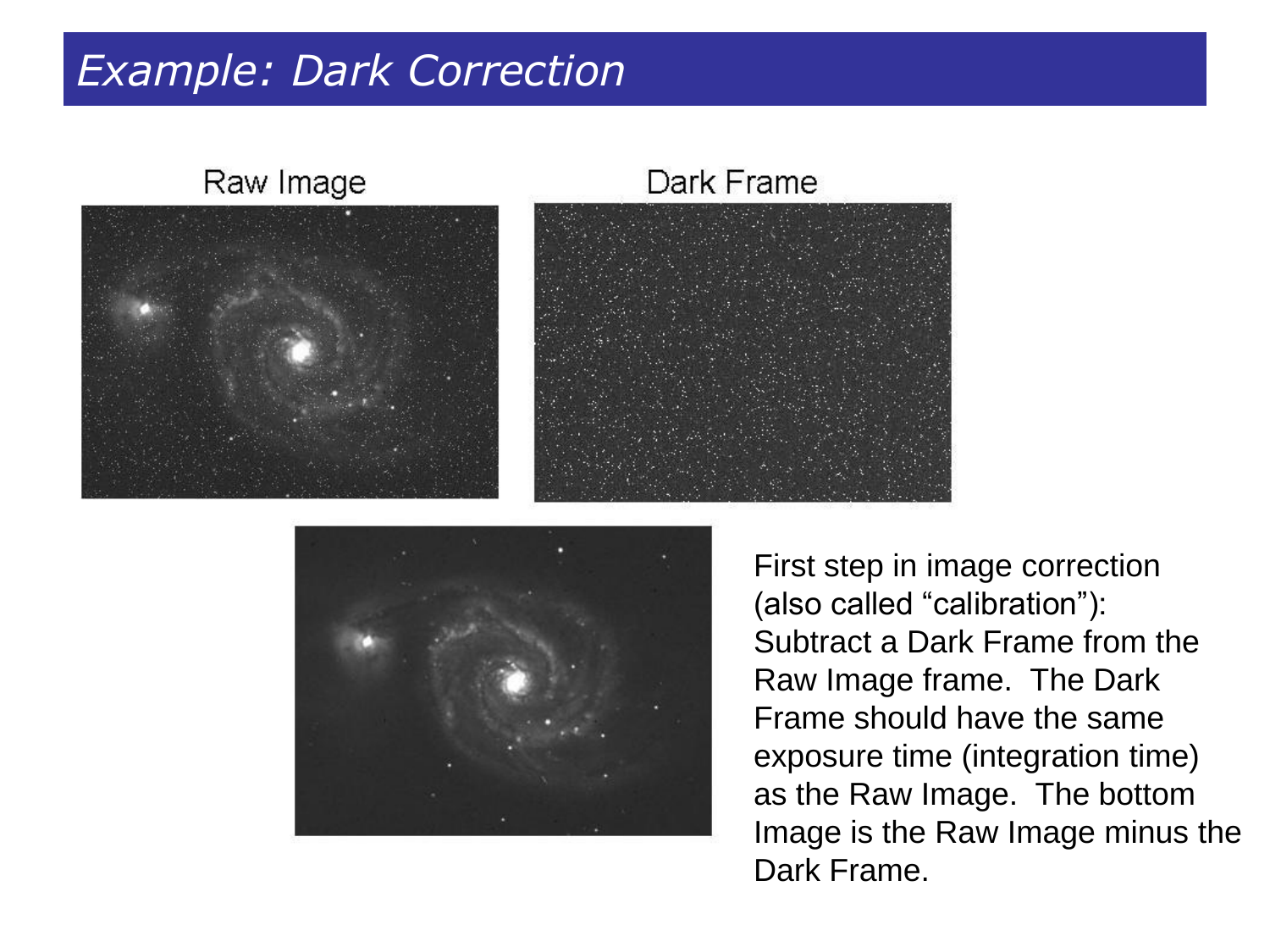### *Example: Dark Correction*

#### Raw Image



#### Dark Frame





First step in image correction (also called "calibration"): Subtract a Dark Frame from the Raw Image frame. The Dark Frame should have the same exposure time (integration time) as the Raw Image. The bottom Image is the Raw Image minus the Dark Frame.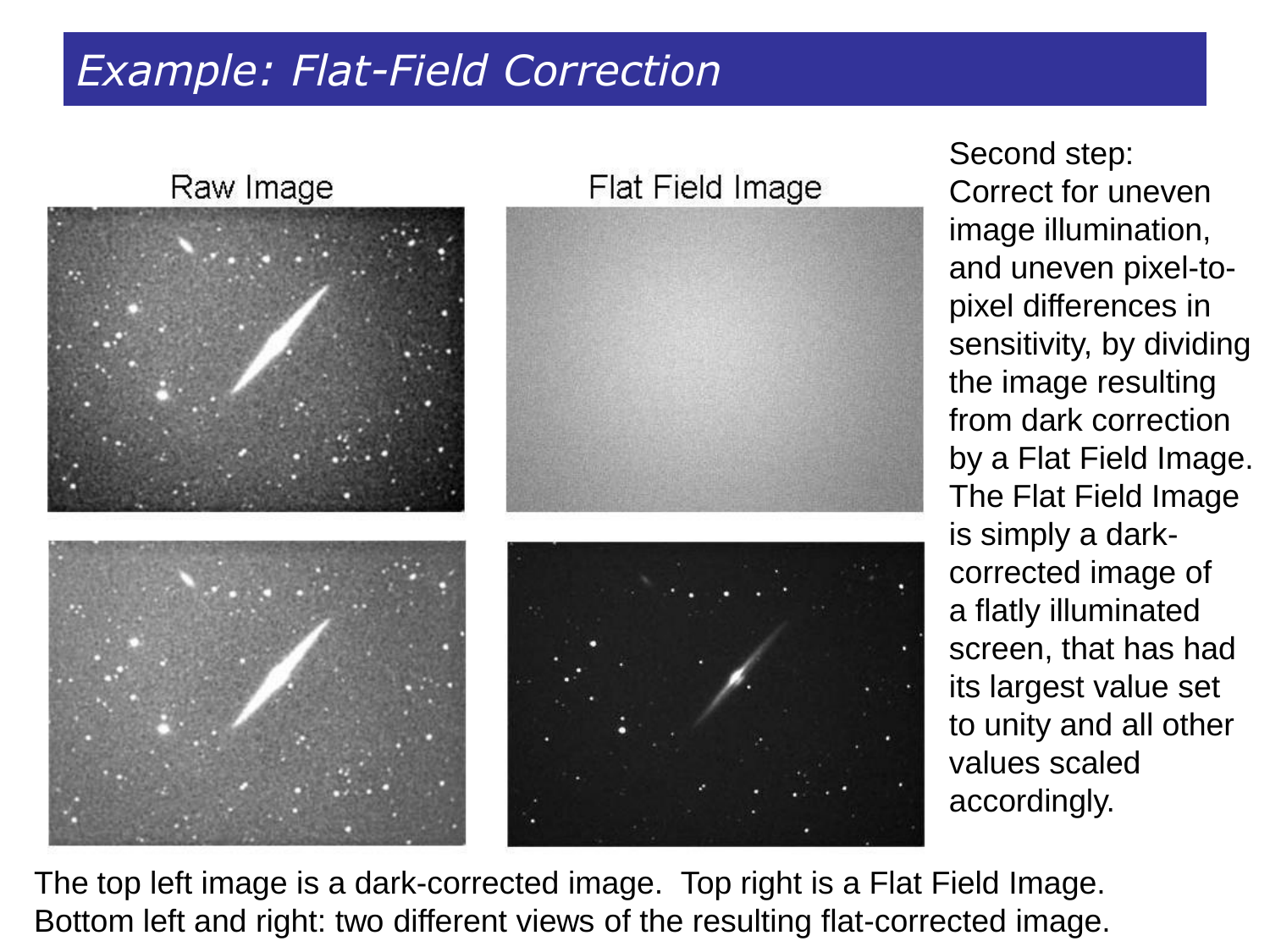## *Example: Flat-Field Correction*

Raw Image Flat Field Image

Second step: Correct for uneven image illumination, and uneven pixel-topixel differences in sensitivity, by dividing the image resulting from dark correction by a Flat Field Image. The Flat Field Image is simply a darkcorrected image of a flatly illuminated screen, that has had its largest value set to unity and all other values scaled accordingly.

The top left image is a dark-corrected image. Top right is a Flat Field Image. Bottom left and right: two different views of the resulting flat-corrected image.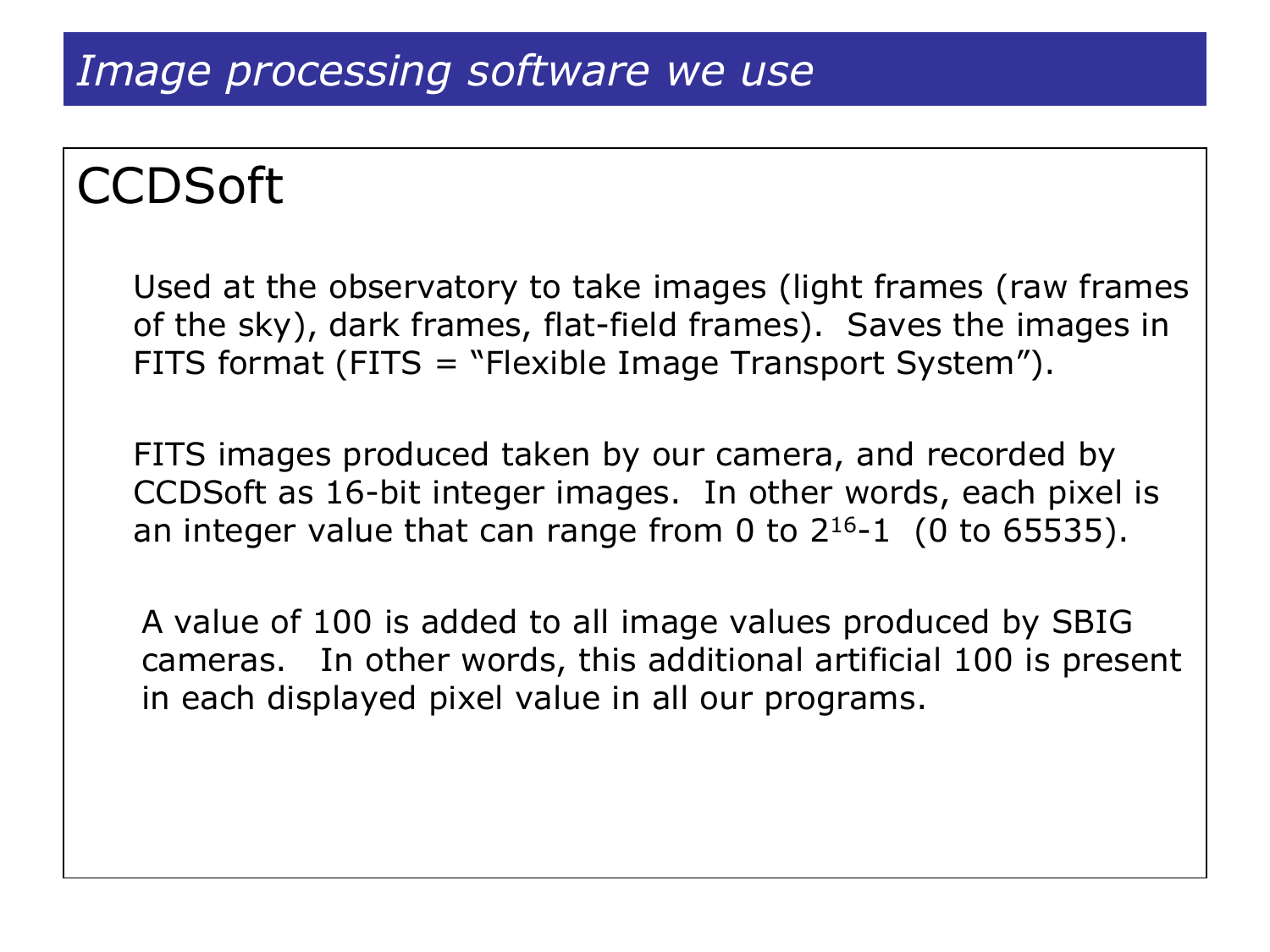# **CCDSoft**

Used at the observatory to take images (light frames (raw frames of the sky), dark frames, flat-field frames). Saves the images in FITS format (FITS = "Flexible Image Transport System").

FITS images produced taken by our camera, and recorded by CCDSoft as 16-bit integer images. In other words, each pixel is an integer value that can range from 0 to  $2^{16}$ -1 (0 to 65535).

A value of 100 is added to all image values produced by SBIG cameras. In other words, this additional artificial 100 is present in each displayed pixel value in all our programs.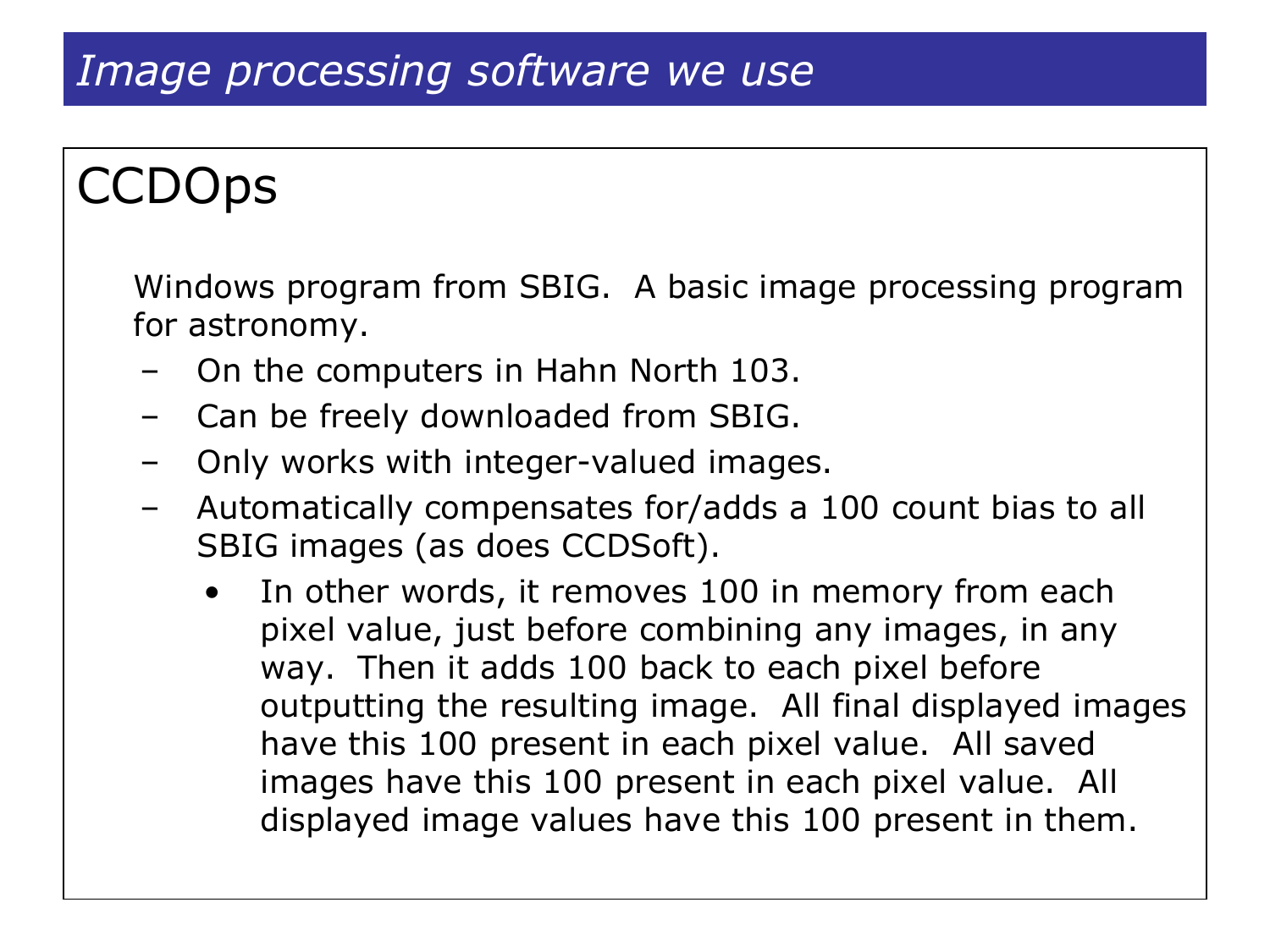### *Image processing software we use*

# **CCDOps**

Windows program from SBIG. A basic image processing program for astronomy.

- On the computers in Hahn North 103.
- Can be freely downloaded from SBIG.
- Only works with integer-valued images.
- Automatically compensates for/adds a 100 count bias to all SBIG images (as does CCDSoft).
	- In other words, it removes 100 in memory from each pixel value, just before combining any images, in any way. Then it adds 100 back to each pixel before outputting the resulting image. All final displayed images have this 100 present in each pixel value. All saved images have this 100 present in each pixel value. All displayed image values have this 100 present in them.